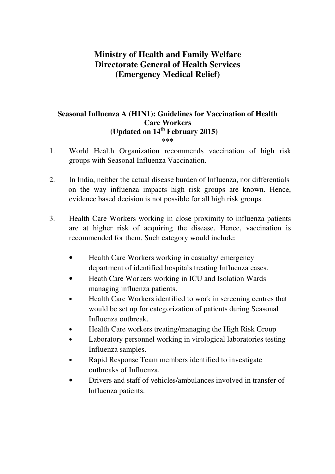## **Ministry of Health and Family Welfare Directorate General of Health Services (Emergency Medical Relief)**

## **Seasonal Influenza A (H1N1): Guidelines for Vaccination of Health Care Workers (Updated on 14th February 2015) \*\*\***

- 1. World Health Organization recommends vaccination of high risk groups with Seasonal Influenza Vaccination.
- 2. In India, neither the actual disease burden of Influenza, nor differentials on the way influenza impacts high risk groups are known. Hence, evidence based decision is not possible for all high risk groups.
- 3. Health Care Workers working in close proximity to influenza patients are at higher risk of acquiring the disease. Hence, vaccination is recommended for them. Such category would include:
	- Health Care Workers working in casualty/ emergency department of identified hospitals treating Influenza cases.
	- Heath Care Workers working in ICU and Isolation Wards managing influenza patients.
	- Health Care Workers identified to work in screening centres that would be set up for categorization of patients during Seasonal Influenza outbreak.
	- Health Care workers treating/managing the High Risk Group
	- Laboratory personnel working in virological laboratories testing Influenza samples.
	- Rapid Response Team members identified to investigate outbreaks of Influenza.
	- Drivers and staff of vehicles/ambulances involved in transfer of Influenza patients.